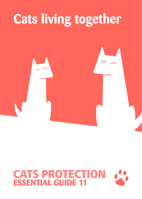# **Cats living together**

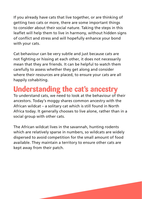If you already have cats that live together, or are thinking of getting two cats or more, there are some important things to consider about their social nature. Taking the steps in this leaflet will help them to live in harmony, without hidden signs of conflict and stress and will hopefully enhance your bond with your cats.

Cat behaviour can be very subtle and just because cats are not fighting or hissing at each other, it does not necessarily mean that they are friends. It can be helpful to watch them carefully to assess whether they get along and consider where their resources are placed, to ensure your cats are all happily cohabiting.

## **Understanding the cat's ancestry**

To understand cats, we need to look at the behaviour of their ancestors. Today's moggy shares common ancestry with the African wildcat – a solitary cat which is still found in North Africa today. It generally chooses to live alone, rather than in a social group with other cats.

The African wildcat lives in the savannah, hunting rodents which are relatively sparse in numbers, so wildcats are widely dispersed to avoid competition for the small amount of food available. They maintain a territory to ensure other cats are kept away from their patch.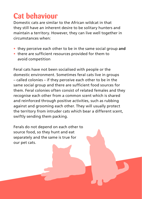## **Cat behaviour**

Domestic cats are similar to the African wildcat in that they still have an inherent desire to be solitary hunters and maintain a territory. However, they can live well together in circumstances when:

- **•** they perceive each other to be in the same social group **and**
- **•** there are sufficient resources provided for them to avoid competition

Feral cats have not been socialised with people or the domestic environment. Sometimes feral cats live in groups – called colonies – if they perceive each other to be in the same social group and there are sufficient food sources for them. Feral colonies often consist of related females and they recognise each other from a common scent which is shared and reinforced through positive activities, such as rubbing against and grooming each other. They will usually protect the territory from intruder cats which bear a different scent, swiftly sending them packing.

Ferals do not depend on each other to source food, so they hunt and eat separately and the same is true for our pet cats.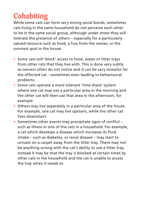## **Cohabiting**

While some cats can form very strong social bonds, sometimes cats living in the same household do not perceive each other to be in the same social group, although under stress they will tolerate the presence of others – especially for a particularly valued resource such as food, a fuss from the owner, or the sunniest spot in the house.

- **•** Some cats will 'block' access to food, water or litter trays from other cats that they live with. This is done very subtly so owners often do not notice and it can be very stressful for the affected cat – sometimes even leading to behavioural problems
- **•** Some cats operate a more tolerant 'time share' system where one cat may use a particular area in the morning and the other cat will then use that area in the afternoon, for example
- **•** Others may live separately in a particular area of the house. For example, one cat may live upstairs, while the other cat lives downstairs
- **•** Sometimes other events may precipitate signs of conflict such as illness in one of the cats in a household. For example, a cat which develops a disease which increases its fluid intake – such as diabetes, or renal disease – may start to urinate on a carpet away from the litter tray. There may not be anything wrong with the cat's ability to use a litter tray, instead it may be that the tray is blocked at certain times by other cats in the household and the cat is unable to access the tray when it needs to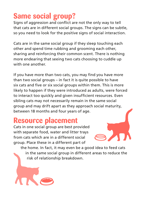## **Same social group?**

Signs of aggression and conflict are not the only way to tell that cats are in different social groups. The signs can be subtle, so you need to look for the positive signs of social interaction.

Cats are in the same social group if they sleep touching each other and spend time rubbing and grooming each other, sharing and reinforcing their common scent. There is nothing more endearing that seeing two cats choosing to cuddle up with one another

If you have more than two cats, you may find you have more than two social groups – in fact it is quite possible to have six cats and five or six social groups within them. This is more likely to happen if they were introduced as adults, were forced to interact too quickly and given insufficient resources. Even sibling cats may not necessarily remain in the same social group and may drift apart as they approach social maturity, between 18 months and four years of age.

### **Resource placement**

Cats in one social group are best provided with separate food, water and litter trays from cats which are in a different social group. Place these in a different part of

the home. In fact, it may even be a good idea to feed cats in the same social group in different areas to reduce the risk of relationship breakdown.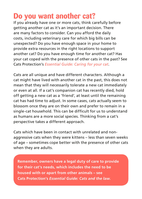## **Do you want another cat?**

If you already have one or more cats, think carefully before getting another cat as it's an important decision. There are many factors to consider. Can you afford the daily costs, including veterinary care for which big bills can be unexpected? Do you have enough space in your home to provide extra resources in the right locations to support another cat? Do you have enough time for another cat? Has your cat coped with the presence of other cats in the past? See Cats Protection's *Essential Guide: Caring for your cat*.

Cats are all unique and have different characters. Although a cat might have lived with another cat in the past, this does not mean that they will necessarily tolerate a new cat immediately or even at all. If a cat's companion cat has recently died, hold off getting a new cat as a 'friend', at least until the remaining cat has had time to adjust. In some cases, cats actually seem to blossom once they are on their own and prefer to remain in a single-cat household. This can be difficult for us to understand as humans are a more social species. Thinking from a cat's perspective takes a different approach.

Cats which have been in contact with unrelated and nonaggressive cats when they were kittens – less than seven weeks of age – sometimes cope better with the presence of other cats when they are adults.

**Remember, owners have a legal duty of care to provide for their cat's needs, which includes the need to be housed with or apart from other animals – see Cats Protection's** *Essential Guide: Cats and the law***.**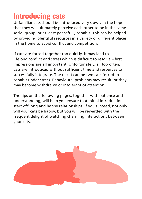## **Introducing cats**

Unfamiliar cats should be introduced very slowly in the hope that they will ultimately perceive each other to be in the same social group, or at least peacefully cohabit. This can be helped by providing plentiful resources in a variety of different places in the home to avoid conflict and competition.

If cats are forced together too quickly, it may lead to lifelong conflict and stress which is difficult to resolve – first impressions are all important. Unfortunately, all too often, cats are introduced without sufficient time and resources to successfully integrate. The result can be two cats forced to cohabit under stress. Behavioural problems may result, or they may become withdrawn or intolerant of attention.

The tips on the following pages, together with patience and understanding, will help you ensure that initial introductions start off long and happy relationships. If you succeed, not only will your cats be happy, but you will be rewarded with the frequent delight of watching charming interactions between your cats.

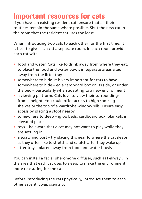## **Important resources for cats**

If you have an existing resident cat, ensure that all their routines remain the same where possible. Shut the new cat in the room that the resident cat uses the least.

When introducing two cats to each other for the first time, it is best to give each cat a separate room. In each room provide each cat with:

- **•** food and water. Cats like to drink away from where they eat, so place the food and water bowls in separate areas sited away from the litter tray
- **•** somewhere to hide. It is very important for cats to have somewhere to hide – eg a cardboard box on its side, or under the bed – particularly when adapting to a new environment
- **•** a viewing platform. Cats love to view their surroundings from a height. You could offer access to high spots eg shelves or the top of a wardrobe window sills. Ensure easy access by placing a stool nearby
- **•** somewhere to sleep igloo beds, cardboard box, blankets in elevated places
- **•** toys be aware that a cat may not want to play while they are settling in
- **•** a scratching post try placing this near to where the cat sleeps as they often like to stretch and scratch after they wake up
- **•** litter tray placed away from food and water bowls

You can install a facial pheromone diffuser, such as Feliway<sup>®</sup>, in the area that each cat uses to sleep, to make the environment more reassuring for the cats.

Before introducing the cats physically, introduce them to each other's scent. Swap scents by: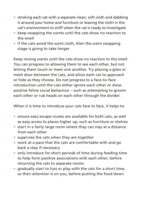- **•** stroking each cat with a separate clean, soft cloth and dabbing it around your home and furniture or leaving the cloth in the cat's environment to sniff when the cat is ready to investigate
- **•** keep swapping the scents until the cats show no reaction to the smell
- **•** if the cats avoid the scent cloth, then the scent swapping stage is going to take longer

Keep mixing scents until the cats show no reaction to the smell. You can progress to allowing them to see each other, but not letting them touch or meet one another. Try placing a glass or mesh door between the cats, and allow each cat to approach or hide as they choose. Do not progress to a face-to-face introduction until the cats either ignore each other or show positive feline social behaviour – such as attempting to groom each other or rub heads on each other through the divider.

When it is time to introduce your cats face to face, it helps to:

- **•** ensure easy escape routes are available for both cats, as well as easy access to places higher up, such as furniture or shelves
- **•** start in a fairly large room where they can stay at a distance from each other
- **•** supervise the cats when they are together
- **•** work at a pace that the cats are comfortable with and go back a step if necessary
- **•** only introduce for short periods of time during feeding time to help form positive associations with each other, before returning the cats to separate rooms
- **•** gradually start to fuss or play with the cats for a short time, so their attention is on you, before putting the food down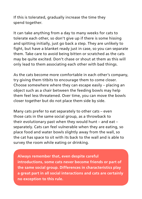If this is tolerated, gradually increase the time they spend together.

It can take anything from a day to many weeks for cats to tolerate each other, so don't give up if there is some hissing and spitting initially, just go back a step. They are unlikely to fight, but have a blanket ready just in case, so you can separate them. Take care to avoid being bitten or scratched as the cats may be quite excited. Don't chase or shout at them as this will only lead to them associating each other with bad things.

As the cats become more comfortable in each other's company, try giving them titbits to encourage them to come closer. Choose somewhere where they can escape easily – placing an object such as a chair between the feeding bowls may help them feel less threatened. Over time, you can move the bowls closer together but do not place them side by side.

Many cats prefer to eat separately to other cats – even those cats in the same social group, as a throwback to their evolutionary past when they would hunt – and eat – separately. Cats can feel vulnerable when they are eating, so place food and water bowls slightly away from the wall, so the cat has space to sit with its back to the wall and is able to survey the room while eating or drinking.

**Always remember that, even despite careful introductions, some cats never become friends or part of the same social group. Differences in characteristics play a great part in all social interactions and cats are certainly no exception to this rule.**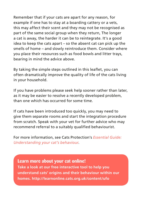Remember that if your cats are apart for any reason, for example if one has to stay at a boarding cattery or a vets, this may affect their scent and they may not be recognised as part of the same social group when they return, The longer a cat is away, the harder it can be to reintegrate. It's a good idea to keep the cats apart – so the absent cat can pick up the smells of home – and slowly reintroduce them. Consider where you place their resources such as food bowls and litter trays, bearing in mind the advice above.

By taking the simple steps outlined in this leaflet, you can often dramatically improve the quality of life of the cats living in your household.

If you have problems please seek help sooner rather than later, as it may be easier to resolve a recently developed problem, than one which has occurred for some time.

If cats have been introduced too quickly, you may need to give them separate rooms and start the integration procedure from scratch. Speak with your vet for further advice who may recommend referral to a suitably qualified behaviourist.

For more information, see Cats Protection's *Essential Guide: Understanding your cat's behaviour*.

**Learn more about your cat online! Take a look at our free interactive tool to help you understand cats' origins and their behaviour within our homes. http://learnonline.cats.org.uk/content/ufo**